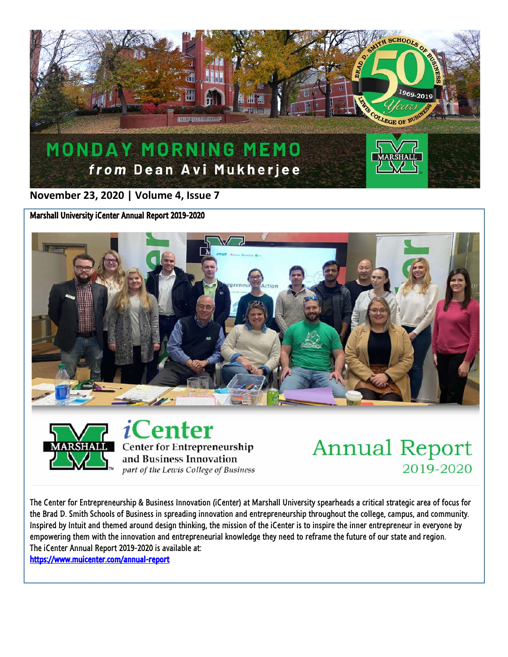

**November 23, 2020 | Volume 4, Issue 7**

Marshall University iCenter Annual Report 2019-2020





*i*Center **Center for Entrepreneurship** and Business Innovation part of the Lewis College of Business

## **Annual Report** 2019-2020

The Center for Entrepreneurship & Business Innovation (iCenter) at Marshall University spearheads a critical strategic area of focus for the Brad D. Smith Schools of Business in spreading innovation and entrepreneurship throughout the college, campus, and community. Inspired by Intuit and themed around design thinking, the mission of the iCenter is to inspire the inner entrepreneur in everyone by empowering them with the innovation and entrepreneurial knowledge they need to reframe the future of our state and region. The iCenter Annual Report 2019-2020 is available at:

<https://www.muicenter.com/annual-report>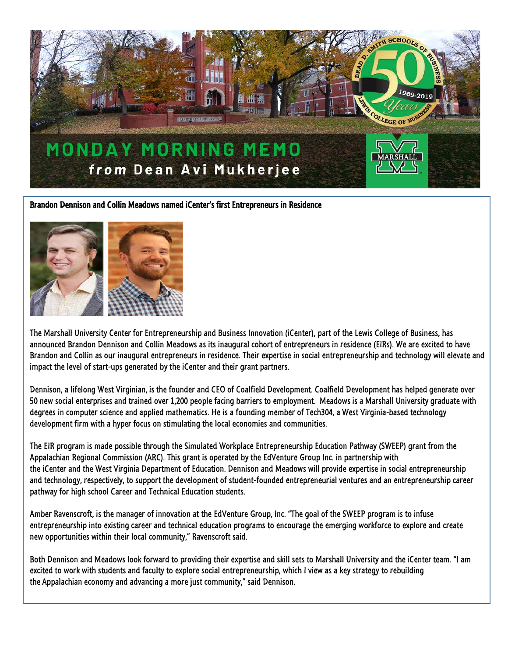

## Brandon Dennison and Collin Meadows named iCenter's first Entrepreneurs in Residence



The Marshall University Center for Entrepreneurship and Business Innovation (iCenter), part of the Lewis College of Business, has announced Brandon Dennison and Collin Meadows as its inaugural cohort of entrepreneurs in residence (EIRs). We are excited to have Brandon and Collin as our inaugural entrepreneurs in residence. Their expertise in social entrepreneurship and technology will elevate and impact the level of start-ups generated by the iCenter and their grant partners.

Dennison, a lifelong West Virginian, is the founder and CEO of Coalfield Development. Coalfield Development has helped generate over 50 new social enterprises and trained over 1,200 people facing barriers to employment. Meadows is a Marshall University graduate with degrees in computer science and applied mathematics. He is a founding member of Tech304, a West Virginia-based technology development firm with a hyper focus on stimulating the local economies and communities.

The EIR program is made possible through the Simulated Workplace Entrepreneurship Education Pathway (SWEEP) grant from the Appalachian Regional Commission (ARC). This grant is operated by the EdVenture Group Inc. in partnership with the iCenter and the West Virginia Department of Education. Dennison and Meadows will provide expertise in social entrepreneurship and technology, respectively, to support the development of student-founded entrepreneurial ventures and an entrepreneurship career pathway for high school Career and Technical Education students.

Amber Ravenscroft, is the manager of innovation at the EdVenture Group, Inc. "The goal of the SWEEP program is to infuse entrepreneurship into existing career and technical education programs to encourage the emerging workforce to explore and create new opportunities within their local community," Ravenscroft said.

Both Dennison and Meadows look forward to providing their expertise and skill sets to Marshall University and the iCenter team. "I am excited to work with students and faculty to explore social entrepreneurship, which I view as a key strategy to rebuilding the Appalachian economy and advancing a more just community," said Dennison.